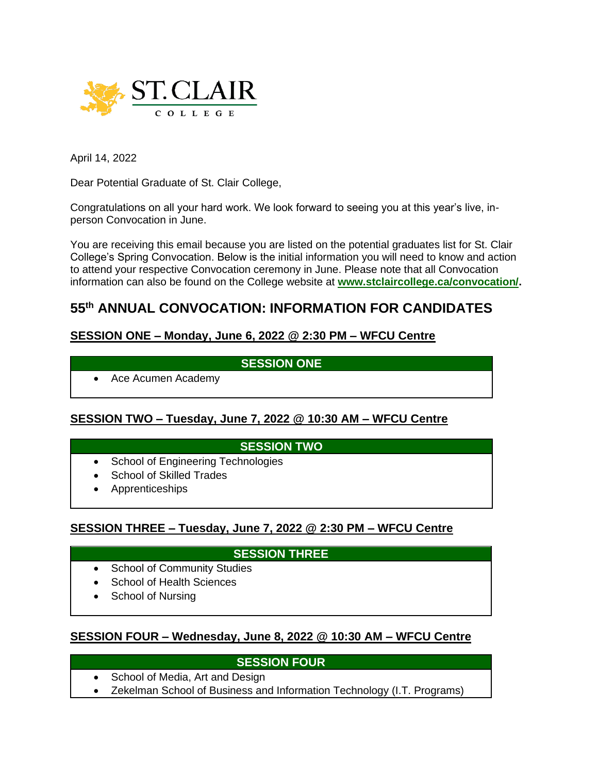

April 14, 2022

Dear Potential Graduate of St. Clair College,

Congratulations on all your hard work. We look forward to seeing you at this year's live, inperson Convocation in June.

You are receiving this email because you are listed on the potential graduates list for St. Clair College's Spring Convocation. Below is the initial information you will need to know and action to attend your respective Convocation ceremony in June. Please note that all Convocation information can also be found on the College website at **[www.stclaircollege.ca/convocation/.](https://can01.safelinks.protection.outlook.com/?url=http%3A%2F%2Fwww.stclaircollege.ca%2Fconvocation%2F&data=04%7C01%7CCONVOCATION%40stclaircollege.ca%7Ccfebe2cd661f42705c0408da1e44d837%7Cc986676f9b394d08b4f8a668e0e8c6a5%7C0%7C0%7C637855578270629627%7CUnknown%7CTWFpbGZsb3d8eyJWIjoiMC4wLjAwMDAiLCJQIjoiV2luMzIiLCJBTiI6Ik1haWwiLCJXVCI6Mn0%3D%7C3000&sdata=MTKypyTsKoEdZSh%2BYAdxDJP6mGJZ4m8vE70tiRcx%2BVA%3D&reserved=0)**

# **55th ANNUAL CONVOCATION: INFORMATION FOR CANDIDATES**

## **SESSION ONE – Monday, June 6, 2022 @ 2:30 PM – WFCU Centre**

#### **SESSION ONE**

• Ace Acumen Academy

## **SESSION TWO – Tuesday, June 7, 2022 @ 10:30 AM – WFCU Centre**

## **SESSION TWO**

- School of Engineering Technologies
- School of Skilled Trades
- Apprenticeships

#### **SESSION THREE – Tuesday, June 7, 2022 @ 2:30 PM – WFCU Centre**

## **SESSION THREE**

- School of Community Studies
- School of Health Sciences
- School of Nursing

## **SESSION FOUR – Wednesday, June 8, 2022 @ 10:30 AM – WFCU Centre**

#### **SESSION FOUR**

- School of Media, Art and Design
- Zekelman School of Business and Information Technology (I.T. Programs)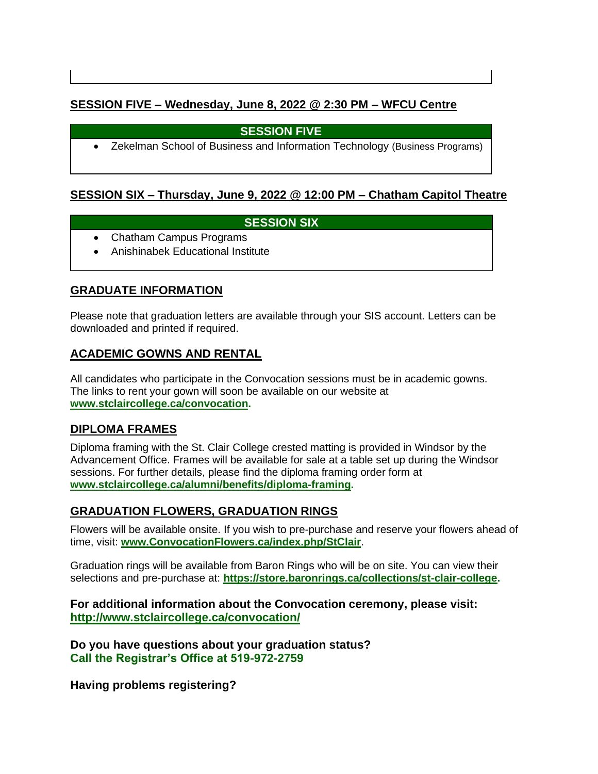# **SESSION FIVE – Wednesday, June 8, 2022 @ 2:30 PM – WFCU Centre**

# **SESSION FIVE**

• Zekelman School of Business and Information Technology (Business Programs)

# **SESSION SIX – Thursday, June 9, 2022 @ 12:00 PM – Chatham Capitol Theatre**

# **SESSION SIX**

- Chatham Campus Programs
- Anishinabek Educational Institute

# **GRADUATE INFORMATION**

Please note that graduation letters are available through your SIS account. Letters can be downloaded and printed if required.

# **ACADEMIC GOWNS AND RENTAL**

All candidates who participate in the Convocation sessions must be in academic gowns. The links to rent your gown will soon be available on our website at **[www.stclaircollege.ca/convocation.](https://can01.safelinks.protection.outlook.com/?url=http%3A%2F%2Fwww.stclaircollege.ca%2Fconvocation&data=04%7C01%7CCONVOCATION%40stclaircollege.ca%7Ccfebe2cd661f42705c0408da1e44d837%7Cc986676f9b394d08b4f8a668e0e8c6a5%7C0%7C0%7C637855578270629627%7CUnknown%7CTWFpbGZsb3d8eyJWIjoiMC4wLjAwMDAiLCJQIjoiV2luMzIiLCJBTiI6Ik1haWwiLCJXVCI6Mn0%3D%7C3000&sdata=NM4YtC47W4mskBytnW2CXZ0hsemPyMAa6061X8lPrpQ%3D&reserved=0)**

## **DIPLOMA FRAMES**

Diploma framing with the St. Clair College crested matting is provided in Windsor by the Advancement Office. Frames will be available for sale at a table set up during the Windsor sessions. For further details, please find the diploma framing order form at **[www.stclaircollege.ca/alumni/benefits/diploma-framing.](https://can01.safelinks.protection.outlook.com/?url=http%3A%2F%2Fwww.stclaircollege.ca%2Falumni%2Fbenefits%2Fdiploma-framing&data=04%7C01%7CCONVOCATION%40stclaircollege.ca%7Ccfebe2cd661f42705c0408da1e44d837%7Cc986676f9b394d08b4f8a668e0e8c6a5%7C0%7C0%7C637855578270629627%7CUnknown%7CTWFpbGZsb3d8eyJWIjoiMC4wLjAwMDAiLCJQIjoiV2luMzIiLCJBTiI6Ik1haWwiLCJXVCI6Mn0%3D%7C3000&sdata=YQ5eQB1KCCfVMJ%2B9m98x45fEqs%2FB9dQ6TSbPe8kLTAg%3D&reserved=0)**

## **GRADUATION FLOWERS, GRADUATION RINGS**

Flowers will be available onsite. If you wish to pre-purchase and reserve your flowers ahead of time, visit: **[www.ConvocationFlowers.ca/index.php/StClair](https://can01.safelinks.protection.outlook.com/?url=http%3A%2F%2Fwww.convocationflowers.ca%2Findex.php%2FStClair&data=04%7C01%7CCONVOCATION%40stclaircollege.ca%7Ccfebe2cd661f42705c0408da1e44d837%7Cc986676f9b394d08b4f8a668e0e8c6a5%7C0%7C0%7C637855578270629627%7CUnknown%7CTWFpbGZsb3d8eyJWIjoiMC4wLjAwMDAiLCJQIjoiV2luMzIiLCJBTiI6Ik1haWwiLCJXVCI6Mn0%3D%7C3000&sdata=lQHiIdbnl7BxUANIa4OplHEPzbiACX2UoqXBLOhcw%2B8%3D&reserved=0)**.

Graduation rings will be available from Baron Rings who will be on site. You can view their selections and pre-purchase at: **[https://store.baronrings.ca/collections/st-clair-college.](https://can01.safelinks.protection.outlook.com/?url=https%3A%2F%2Fstore.baronrings.ca%2Fcollections%2Fst-clair-college&data=04%7C01%7CCONVOCATION%40stclaircollege.ca%7Ccfebe2cd661f42705c0408da1e44d837%7Cc986676f9b394d08b4f8a668e0e8c6a5%7C0%7C0%7C637855578270629627%7CUnknown%7CTWFpbGZsb3d8eyJWIjoiMC4wLjAwMDAiLCJQIjoiV2luMzIiLCJBTiI6Ik1haWwiLCJXVCI6Mn0%3D%7C3000&sdata=T%2FenWt7WMdu6vn03zfOwa6UKMOirJ0%2B2xEhZRciLKYE%3D&reserved=0)**

#### **For additional information about the Convocation ceremony, please visit: [http://www.stclaircollege.ca/convocation/](https://can01.safelinks.protection.outlook.com/?url=http%3A%2F%2Fwww.stclaircollege.ca%2Fconvocation%2F&data=04%7C01%7CCONVOCATION%40stclaircollege.ca%7Ccfebe2cd661f42705c0408da1e44d837%7Cc986676f9b394d08b4f8a668e0e8c6a5%7C0%7C0%7C637855578270629627%7CUnknown%7CTWFpbGZsb3d8eyJWIjoiMC4wLjAwMDAiLCJQIjoiV2luMzIiLCJBTiI6Ik1haWwiLCJXVCI6Mn0%3D%7C3000&sdata=MTKypyTsKoEdZSh%2BYAdxDJP6mGJZ4m8vE70tiRcx%2BVA%3D&reserved=0)**

**Do you have questions about your graduation status? Call the Registrar's Office at 519-972-2759**

**Having problems registering?**